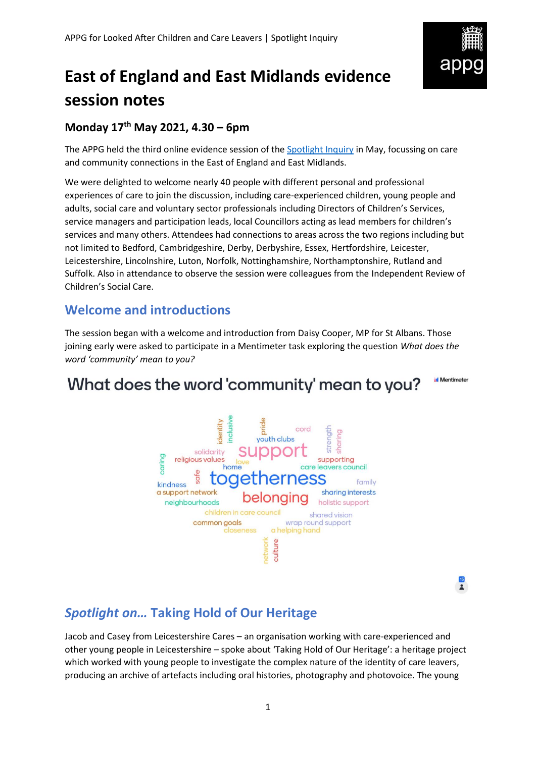

# **East of England and East Midlands evidence session notes**

### **Monday 17 th May 2021, 4.30 – 6pm**

The APPG held the third online evidence session of the [Spotlight Inquiry](https://becomecharity.org.uk/improving-the-care-system/appg/spotlight-inquiry/) in May, focussing on care and community connections in the East of England and East Midlands.

We were delighted to welcome nearly 40 people with different personal and professional experiences of care to join the discussion, including care-experienced children, young people and adults, social care and voluntary sector professionals including Directors of Children's Services, service managers and participation leads, local Councillors acting as lead members for children's services and many others. Attendees had connections to areas across the two regions including but not limited to Bedford, Cambridgeshire, Derby, Derbyshire, Essex, Hertfordshire, Leicester, Leicestershire, Lincolnshire, Luton, Norfolk, Nottinghamshire, Northamptonshire, Rutland and Suffolk. Also in attendance to observe the session were colleagues from the Independent Review of Children's Social Care.

## **Welcome and introductions**

The session began with a welcome and introduction from Daisy Cooper, MP for St Albans. Those joining early were asked to participate in a Mentimeter task exploring the question *What does the word 'community' mean to you?*

## What does the word 'community' mean to you?



 $\frac{15}{2}$ 

**Mentimeter** 

## *Spotlight on…* **Taking Hold of Our Heritage**

Jacob and Casey from Leicestershire Cares – an organisation working with care-experienced and other young people in Leicestershire – spoke about 'Taking Hold of Our Heritage': a heritage project which worked with young people to investigate the complex nature of the identity of care leavers, producing an archive of artefacts including oral histories, photography and photovoice. The young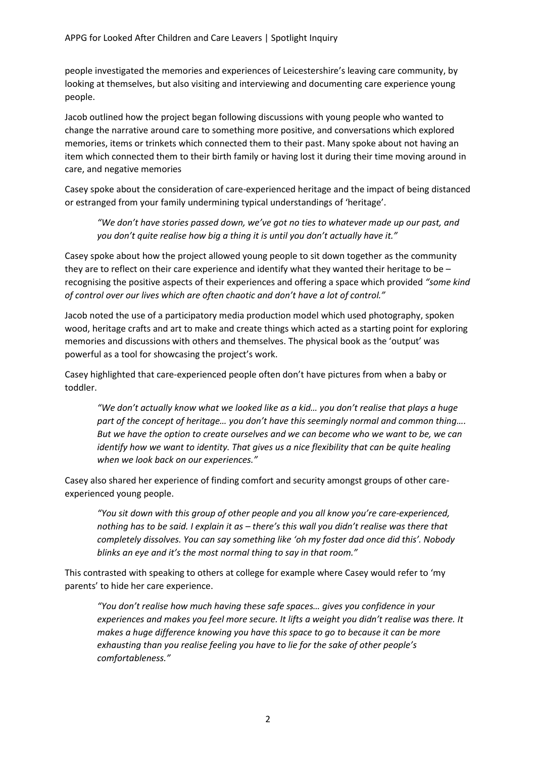people investigated the memories and experiences of Leicestershire's leaving care community, by looking at themselves, but also visiting and interviewing and documenting care experience young people.

Jacob outlined how the project began following discussions with young people who wanted to change the narrative around care to something more positive, and conversations which explored memories, items or trinkets which connected them to their past. Many spoke about not having an item which connected them to their birth family or having lost it during their time moving around in care, and negative memories

Casey spoke about the consideration of care-experienced heritage and the impact of being distanced or estranged from your family undermining typical understandings of 'heritage'.

*"We don't have stories passed down, we've got no ties to whatever made up our past, and you don't quite realise how big a thing it is until you don't actually have it."*

Casey spoke about how the project allowed young people to sit down together as the community they are to reflect on their care experience and identify what they wanted their heritage to be – recognising the positive aspects of their experiences and offering a space which provided *"some kind of control over our lives which are often chaotic and don't have a lot of control."*

Jacob noted the use of a participatory media production model which used photography, spoken wood, heritage crafts and art to make and create things which acted as a starting point for exploring memories and discussions with others and themselves. The physical book as the 'output' was powerful as a tool for showcasing the project's work.

Casey highlighted that care-experienced people often don't have pictures from when a baby or toddler.

"We don't actually know what we looked like as a kid... you don't realise that plays a huge *part of the concept of heritage… you don't have this seemingly normal and common thing…. But we have the option to create ourselves and we can become who we want to be, we can identify how we want to identity. That gives us a nice flexibility that can be quite healing when we look back on our experiences."*

Casey also shared her experience of finding comfort and security amongst groups of other careexperienced young people.

*"You sit down with this group of other people and you all know you're care-experienced, nothing has to be said. I explain it as – there's this wall you didn't realise was there that completely dissolves. You can say something like 'oh my foster dad once did this'. Nobody blinks an eye and it's the most normal thing to say in that room."*

This contrasted with speaking to others at college for example where Casey would refer to 'my parents' to hide her care experience.

*"You don't realise how much having these safe spaces… gives you confidence in your experiences and makes you feel more secure. It lifts a weight you didn't realise was there. It makes a huge difference knowing you have this space to go to because it can be more exhausting than you realise feeling you have to lie for the sake of other people's comfortableness."*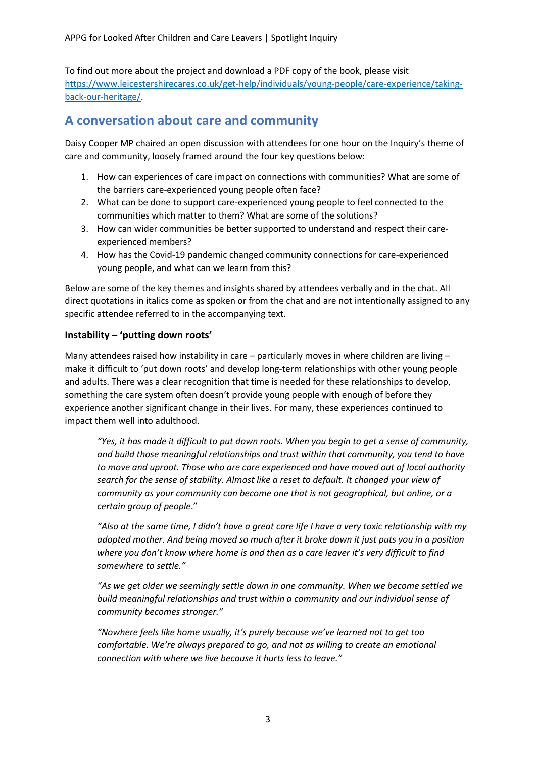To find out more about the project and download a PDF copy of the book, please visit [https://www.leicestershirecares.co.uk/get-help/individuals/young-people/care-experience/taking](https://www.leicestershirecares.co.uk/get-help/individuals/young-people/care-experience/taking-back-our-heritage/)[back-our-heritage/.](https://www.leicestershirecares.co.uk/get-help/individuals/young-people/care-experience/taking-back-our-heritage/)

### **A conversation about care and community**

Daisy Cooper MP chaired an open discussion with attendees for one hour on the Inquiry's theme of care and community, loosely framed around the four key questions below:

- 1. How can experiences of care impact on connections with communities? What are some of the barriers care-experienced young people often face?
- 2. What can be done to support care-experienced young people to feel connected to the communities which matter to them? What are some of the solutions?
- 3. How can wider communities be better supported to understand and respect their careexperienced members?
- 4. How has the Covid-19 pandemic changed community connections for care-experienced young people, and what can we learn from this?

Below are some of the key themes and insights shared by attendees verbally and in the chat. All direct quotations in italics come as spoken or from the chat and are not intentionally assigned to any specific attendee referred to in the accompanying text.

#### **Instability – 'putting down roots'**

Many attendees raised how instability in care – particularly moves in where children are living – make it difficult to 'put down roots' and develop long-term relationships with other young people and adults. There was a clear recognition that time is needed for these relationships to develop, something the care system often doesn't provide young people with enough of before they experience another significant change in their lives. For many, these experiences continued to impact them well into adulthood.

*"Yes, it has made it difficult to put down roots. When you begin to get a sense of community, and build those meaningful relationships and trust within that community, you tend to have to move and uproot. Those who are care experienced and have moved out of local authority search for the sense of stability. Almost like a reset to default. It changed your view of community as your community can become one that is not geographical, but online, or a certain group of people*."

*"Also at the same time, I didn't have a great care life I have a very toxic relationship with my adopted mother. And being moved so much after it broke down it just puts you in a position where you don't know where home is and then as a care leaver it's very difficult to find somewhere to settle."*

*"As we get older we seemingly settle down in one community. When we become settled we build meaningful relationships and trust within a community and our individual sense of community becomes stronger."*

*"Nowhere feels like home usually, it's purely because we've learned not to get too comfortable. We're always prepared to go, and not as willing to create an emotional connection with where we live because it hurts less to leave."*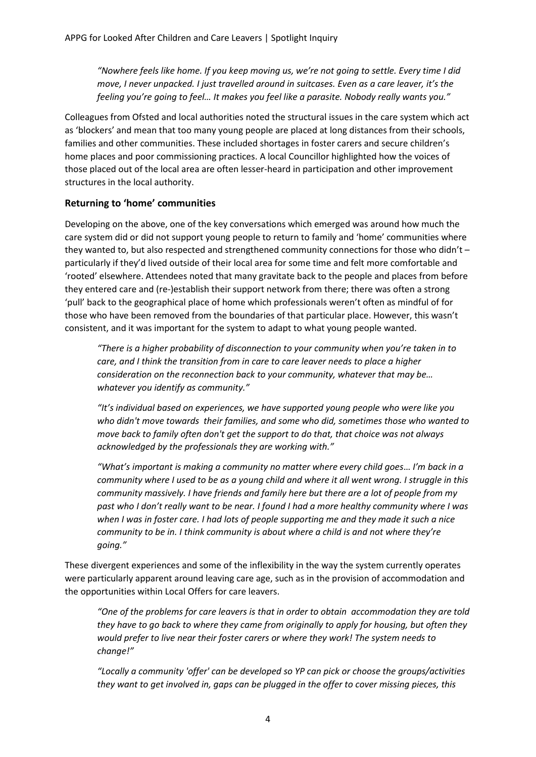*"Nowhere feels like home. If you keep moving us, we're not going to settle. Every time I did move, I never unpacked. I just travelled around in suitcases. Even as a care leaver, it's the feeling you're going to feel… It makes you feel like a parasite. Nobody really wants you."*

Colleagues from Ofsted and local authorities noted the structural issues in the care system which act as 'blockers' and mean that too many young people are placed at long distances from their schools, families and other communities. These included shortages in foster carers and secure children's home places and poor commissioning practices. A local Councillor highlighted how the voices of those placed out of the local area are often lesser-heard in participation and other improvement structures in the local authority.

#### **Returning to 'home' communities**

Developing on the above, one of the key conversations which emerged was around how much the care system did or did not support young people to return to family and 'home' communities where they wanted to, but also respected and strengthened community connections for those who didn't – particularly if they'd lived outside of their local area for some time and felt more comfortable and 'rooted' elsewhere. Attendees noted that many gravitate back to the people and places from before they entered care and (re-)establish their support network from there; there was often a strong 'pull' back to the geographical place of home which professionals weren't often as mindful of for those who have been removed from the boundaries of that particular place. However, this wasn't consistent, and it was important for the system to adapt to what young people wanted.

*"There is a higher probability of disconnection to your community when you're taken in to care, and I think the transition from in care to care leaver needs to place a higher consideration on the reconnection back to your community, whatever that may be… whatever you identify as community."*

*"It's individual based on experiences, we have supported young people who were like you who didn't move towards their families, and some who did, sometimes those who wanted to move back to family often don't get the support to do that, that choice was not always acknowledged by the professionals they are working with."*

*"What's important is making a community no matter where every child goes*… *I'm back in a community where I used to be as a young child and where it all went wrong. I struggle in this community massively. I have friends and family here but there are a lot of people from my past who I don't really want to be near. I found I had a more healthy community where I was when I was in foster care. I had lots of people supporting me and they made it such a nice community to be in. I think community is about where a child is and not where they're going."*

These divergent experiences and some of the inflexibility in the way the system currently operates were particularly apparent around leaving care age, such as in the provision of accommodation and the opportunities within Local Offers for care leavers.

*"One of the problems for care leavers is that in order to obtain accommodation they are told they have to go back to where they came from originally to apply for housing, but often they would prefer to live near their foster carers or where they work! The system needs to change!"*

*"Locally a community 'offer' can be developed so YP can pick or choose the groups/activities they want to get involved in, gaps can be plugged in the offer to cover missing pieces, this*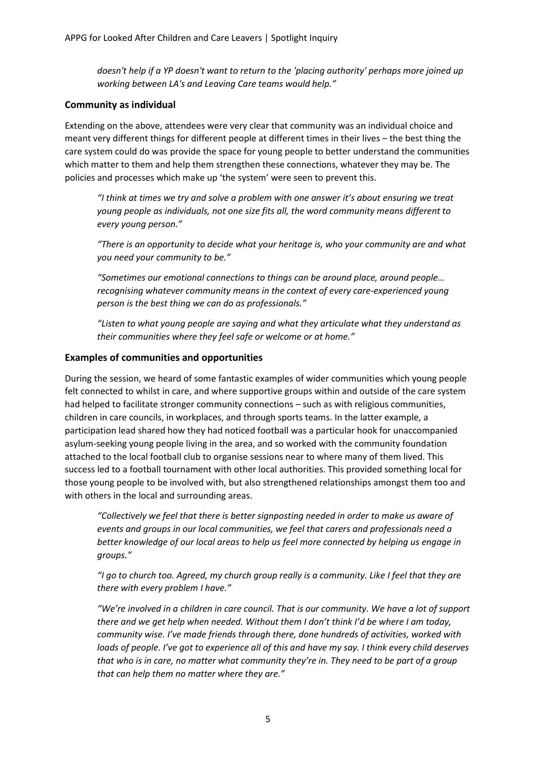*doesn't help if a YP doesn't want to return to the 'placing authority' perhaps more joined up working between LA's and Leaving Care teams would help."*

#### **Community as individual**

Extending on the above, attendees were very clear that community was an individual choice and meant very different things for different people at different times in their lives – the best thing the care system could do was provide the space for young people to better understand the communities which matter to them and help them strengthen these connections, whatever they may be. The policies and processes which make up 'the system' were seen to prevent this.

*"I think at times we try and solve a problem with one answer it's about ensuring we treat young people as individuals, not one size fits all, the word community means different to every young person."*

*"There is an opportunity to decide what your heritage is, who your community are and what you need your community to be."*

*"Sometimes our emotional connections to things can be around place, around people… recognising whatever community means in the context of every care-experienced young person is the best thing we can do as professionals."*

*"Listen to what young people are saying and what they articulate what they understand as their communities where they feel safe or welcome or at home."*

#### **Examples of communities and opportunities**

During the session, we heard of some fantastic examples of wider communities which young people felt connected to whilst in care, and where supportive groups within and outside of the care system had helped to facilitate stronger community connections – such as with religious communities, children in care councils, in workplaces, and through sports teams. In the latter example, a participation lead shared how they had noticed football was a particular hook for unaccompanied asylum-seeking young people living in the area, and so worked with the community foundation attached to the local football club to organise sessions near to where many of them lived. This success led to a football tournament with other local authorities. This provided something local for those young people to be involved with, but also strengthened relationships amongst them too and with others in the local and surrounding areas.

*"Collectively we feel that there is better signposting needed in order to make us aware of events and groups in our local communities, we feel that carers and professionals need a better knowledge of our local areas to help us feel more connected by helping us engage in groups."*

*"I go to church too. Agreed, my church group really is a community. Like I feel that they are there with every problem I have."*

*"We're involved in a children in care council. That is our community. We have a lot of support there and we get help when needed. Without them I don't think I'd be where I am today, community wise. I've made friends through there, done hundreds of activities, worked with loads of people. I've got to experience all of this and have my say. I think every child deserves that who is in care, no matter what community they're in. They need to be part of a group that can help them no matter where they are."*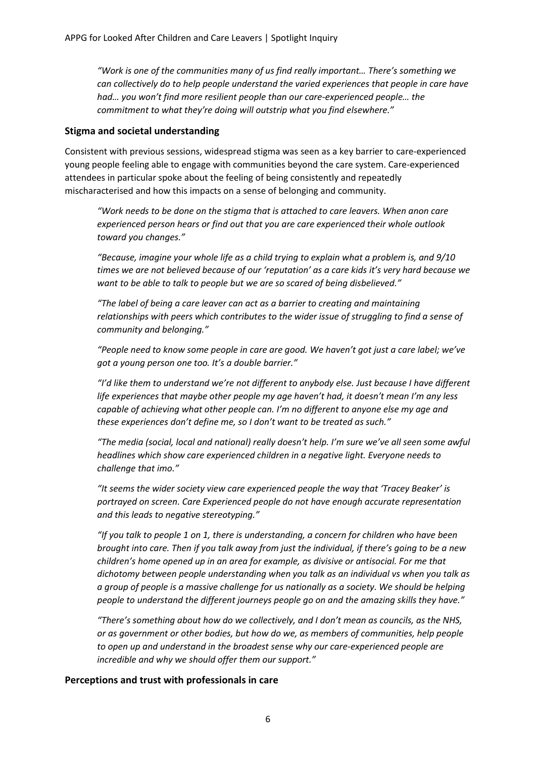*"Work is one of the communities many of us find really important… There's something we can collectively do to help people understand the varied experiences that people in care have had… you won't find more resilient people than our care-experienced people… the commitment to what they're doing will outstrip what you find elsewhere."*

#### **Stigma and societal understanding**

Consistent with previous sessions, widespread stigma was seen as a key barrier to care-experienced young people feeling able to engage with communities beyond the care system. Care-experienced attendees in particular spoke about the feeling of being consistently and repeatedly mischaracterised and how this impacts on a sense of belonging and community.

*"Work needs to be done on the stigma that is attached to care leavers. When anon care experienced person hears or find out that you are care experienced their whole outlook toward you changes."*

*"Because, imagine your whole life as a child trying to explain what a problem is, and 9/10 times we are not believed because of our 'reputation' as a care kids it's very hard because we want to be able to talk to people but we are so scared of being disbelieved."*

*"The label of being a care leaver can act as a barrier to creating and maintaining relationships with peers which contributes to the wider issue of struggling to find a sense of community and belonging."*

*"People need to know some people in care are good. We haven't got just a care label; we've got a young person one too. It's a double barrier."*

*"I'd like them to understand we're not different to anybody else. Just because I have different life experiences that maybe other people my age haven't had, it doesn't mean I'm any less capable of achieving what other people can. I'm no different to anyone else my age and these experiences don't define me, so I don't want to be treated as such."*

*"The media (social, local and national) really doesn't help. I'm sure we've all seen some awful headlines which show care experienced children in a negative light. Everyone needs to challenge that imo."*

*"It seems the wider society view care experienced people the way that 'Tracey Beaker' is portrayed on screen. Care Experienced people do not have enough accurate representation and this leads to negative stereotyping."*

*"If you talk to people 1 on 1, there is understanding, a concern for children who have been brought into care. Then if you talk away from just the individual, if there's going to be a new children's home opened up in an area for example, as divisive or antisocial. For me that dichotomy between people understanding when you talk as an individual vs when you talk as a group of people is a massive challenge for us nationally as a society. We should be helping people to understand the different journeys people go on and the amazing skills they have."*

*"There's something about how do we collectively, and I don't mean as councils, as the NHS, or as government or other bodies, but how do we, as members of communities, help people to open up and understand in the broadest sense why our care-experienced people are incredible and why we should offer them our support."*

#### **Perceptions and trust with professionals in care**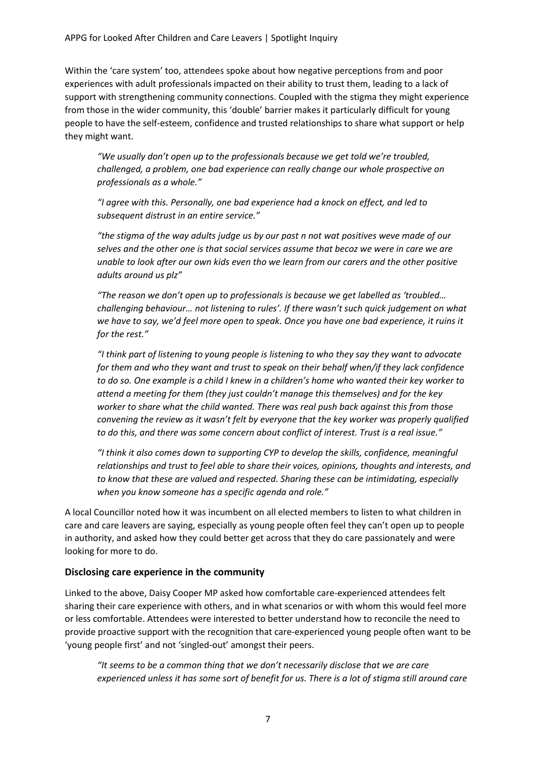Within the 'care system' too, attendees spoke about how negative perceptions from and poor experiences with adult professionals impacted on their ability to trust them, leading to a lack of support with strengthening community connections. Coupled with the stigma they might experience from those in the wider community, this 'double' barrier makes it particularly difficult for young people to have the self-esteem, confidence and trusted relationships to share what support or help they might want.

*"We usually don't open up to the professionals because we get told we're troubled, challenged, a problem, one bad experience can really change our whole prospective on professionals as a whole."*

*"I agree with this. Personally, one bad experience had a knock on effect, and led to subsequent distrust in an entire service."*

*"the stigma of the way adults judge us by our past n not wat positives weve made of our selves and the other one is that social services assume that becoz we were in care we are unable to look after our own kids even tho we learn from our carers and the other positive adults around us plz"*

*"The reason we don't open up to professionals is because we get labelled as 'troubled… challenging behaviour… not listening to rules'. If there wasn't such quick judgement on what we have to say, we'd feel more open to speak. Once you have one bad experience, it ruins it for the rest."*

*"I think part of listening to young people is listening to who they say they want to advocate for them and who they want and trust to speak on their behalf when/if they lack confidence to do so. One example is a child I knew in a children's home who wanted their key worker to attend a meeting for them (they just couldn't manage this themselves) and for the key worker to share what the child wanted. There was real push back against this from those convening the review as it wasn't felt by everyone that the key worker was properly qualified to do this, and there was some concern about conflict of interest. Trust is a real issue."*

*"I think it also comes down to supporting CYP to develop the skills, confidence, meaningful relationships and trust to feel able to share their voices, opinions, thoughts and interests, and to know that these are valued and respected. Sharing these can be intimidating, especially when you know someone has a specific agenda and role."*

A local Councillor noted how it was incumbent on all elected members to listen to what children in care and care leavers are saying, especially as young people often feel they can't open up to people in authority, and asked how they could better get across that they do care passionately and were looking for more to do.

#### **Disclosing care experience in the community**

Linked to the above, Daisy Cooper MP asked how comfortable care-experienced attendees felt sharing their care experience with others, and in what scenarios or with whom this would feel more or less comfortable. Attendees were interested to better understand how to reconcile the need to provide proactive support with the recognition that care-experienced young people often want to be 'young people first' and not 'singled-out' amongst their peers.

*"It seems to be a common thing that we don't necessarily disclose that we are care experienced unless it has some sort of benefit for us. There is a lot of stigma still around care*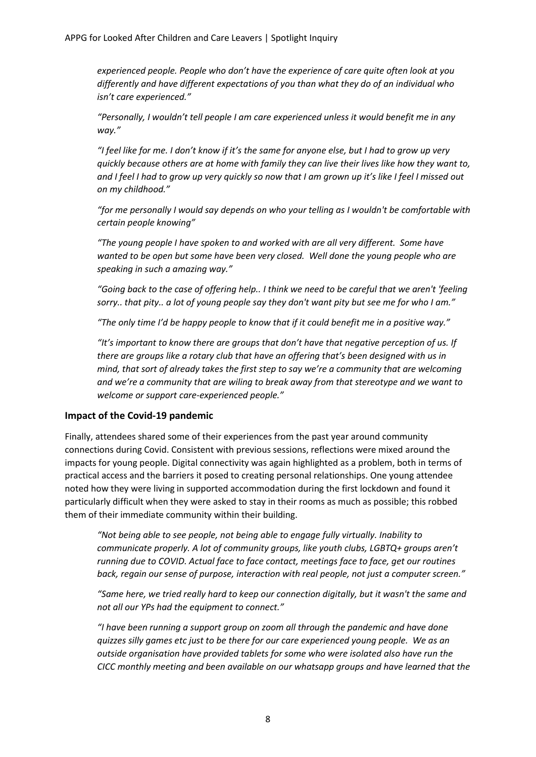*experienced people. People who don't have the experience of care quite often look at you differently and have different expectations of you than what they do of an individual who isn't care experienced."*

*"Personally, I wouldn't tell people I am care experienced unless it would benefit me in any way."*

*"I feel like for me. I don't know if it's the same for anyone else, but I had to grow up very quickly because others are at home with family they can live their lives like how they want to, and I feel I had to grow up very quickly so now that I am grown up it's like I feel I missed out on my childhood."*

*"for me personally I would say depends on who your telling as I wouldn't be comfortable with certain people knowing"*

*"The young people I have spoken to and worked with are all very different. Some have wanted to be open but some have been very closed. Well done the young people who are speaking in such a amazing way."*

*"Going back to the case of offering help.. I think we need to be careful that we aren't 'feeling sorry.. that pity.. a lot of young people say they don't want pity but see me for who I am."*

*"The only time I'd be happy people to know that if it could benefit me in a positive way."*

*"It's important to know there are groups that don't have that negative perception of us. If there are groups like a rotary club that have an offering that's been designed with us in mind, that sort of already takes the first step to say we're a community that are welcoming and we're a community that are wiling to break away from that stereotype and we want to welcome or support care-experienced people."*

#### **Impact of the Covid-19 pandemic**

Finally, attendees shared some of their experiences from the past year around community connections during Covid. Consistent with previous sessions, reflections were mixed around the impacts for young people. Digital connectivity was again highlighted as a problem, both in terms of practical access and the barriers it posed to creating personal relationships. One young attendee noted how they were living in supported accommodation during the first lockdown and found it particularly difficult when they were asked to stay in their rooms as much as possible; this robbed them of their immediate community within their building.

*"Not being able to see people, not being able to engage fully virtually. Inability to communicate properly. A lot of community groups, like youth clubs, LGBTQ+ groups aren't running due to COVID. Actual face to face contact, meetings face to face, get our routines back, regain our sense of purpose, interaction with real people, not just a computer screen."*

*"Same here, we tried really hard to keep our connection digitally, but it wasn't the same and not all our YPs had the equipment to connect."*

*"I have been running a support group on zoom all through the pandemic and have done quizzes silly games etc just to be there for our care experienced young people. We as an outside organisation have provided tablets for some who were isolated also have run the CICC monthly meeting and been available on our whatsapp groups and have learned that the*